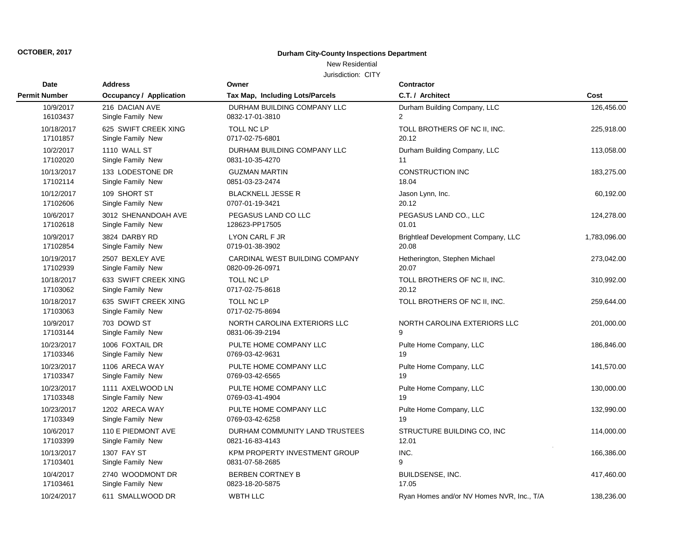## **Durham City-County Inspections Department**

## New Residential

| <b>Date</b>            | <b>Address</b>                            | Owner                           | <b>Contractor</b>                         |              |
|------------------------|-------------------------------------------|---------------------------------|-------------------------------------------|--------------|
| <b>Permit Number</b>   | <b>Occupancy / Application</b>            | Tax Map, Including Lots/Parcels | C.T. / Architect                          | Cost         |
| 10/9/2017              | 216 DACIAN AVE                            | DURHAM BUILDING COMPANY LLC     | Durham Building Company, LLC              | 126,456.00   |
| 16103437               | Single Family New                         | 0832-17-01-3810                 | $\overline{2}$                            |              |
| 10/18/2017             | 625 SWIFT CREEK XING                      | TOLL NC LP                      | TOLL BROTHERS OF NC II, INC.              | 225,918.00   |
| 17101857               | Single Family New                         | 0717-02-75-6801                 | 20.12                                     |              |
| 10/2/2017              | 1110 WALL ST                              | DURHAM BUILDING COMPANY LLC     | Durham Building Company, LLC              | 113,058.00   |
| 17102020               | Single Family New                         | 0831-10-35-4270                 | 11                                        |              |
| 10/13/2017             | 133 LODESTONE DR                          | <b>GUZMAN MARTIN</b>            | CONSTRUCTION INC                          | 183,275.00   |
| 17102114               | Single Family New                         | 0851-03-23-2474                 | 18.04                                     |              |
| 10/12/2017             | 109 SHORT ST                              | <b>BLACKNELL JESSE R</b>        | Jason Lynn, Inc.                          | 60,192.00    |
| 17102606               | Single Family New                         | 0707-01-19-3421                 | 20.12                                     |              |
| 10/6/2017              | 3012 SHENANDOAH AVE                       | PEGASUS LAND CO LLC             | PEGASUS LAND CO., LLC                     | 124,278.00   |
| 17102618               | Single Family New                         | 128623-PP17505                  | 01.01                                     |              |
| 10/9/2017              | 3824 DARBY RD                             | <b>LYON CARL F JR</b>           | Brightleaf Development Company, LLC       | 1,783,096.00 |
| 17102854               | Single Family New                         | 0719-01-38-3902                 | 20.08                                     |              |
| 10/19/2017             | 2507 BEXLEY AVE                           | CARDINAL WEST BUILDING COMPANY  | Hetherington, Stephen Michael             | 273,042.00   |
| 17102939               | Single Family New                         | 0820-09-26-0971                 | 20.07                                     |              |
| 10/18/2017             | 633 SWIFT CREEK XING                      | <b>TOLL NC LP</b>               | TOLL BROTHERS OF NC II, INC.              | 310,992.00   |
| 17103062               | Single Family New                         | 0717-02-75-8618                 | 20.12                                     |              |
| 10/18/2017<br>17103063 | 635 SWIFT CREEK XING<br>Single Family New | TOLL NC LP<br>0717-02-75-8694   | TOLL BROTHERS OF NC II, INC.              | 259,644.00   |
| 10/9/2017              | 703 DOWD ST                               | NORTH CAROLINA EXTERIORS LLC    | NORTH CAROLINA EXTERIORS LLC              | 201,000.00   |
| 17103144               | Single Family New                         | 0831-06-39-2194                 | 9                                         |              |
| 10/23/2017             | 1006 FOXTAIL DR                           | PULTE HOME COMPANY LLC          | Pulte Home Company, LLC                   | 186,846.00   |
| 17103346               | Single Family New                         | 0769-03-42-9631                 | 19                                        |              |
| 10/23/2017             | 1106 ARECA WAY                            | PULTE HOME COMPANY LLC          | Pulte Home Company, LLC                   | 141,570.00   |
| 17103347               | Single Family New                         | 0769-03-42-6565                 | 19                                        |              |
| 10/23/2017             | 1111 AXELWOOD LN                          | PULTE HOME COMPANY LLC          | Pulte Home Company, LLC                   | 130,000.00   |
| 17103348               | Single Family New                         | 0769-03-41-4904                 | 19                                        |              |
| 10/23/2017             | 1202 ARECA WAY                            | PULTE HOME COMPANY LLC          | Pulte Home Company, LLC                   | 132,990.00   |
| 17103349               | Single Family New                         | 0769-03-42-6258                 | 19                                        |              |
| 10/6/2017              | 110 E PIEDMONT AVE                        | DURHAM COMMUNITY LAND TRUSTEES  | STRUCTURE BUILDING CO, INC                | 114,000.00   |
| 17103399               | Single Family New                         | 0821-16-83-4143                 | 12.01                                     |              |
| 10/13/2017             | 1307 FAY ST                               | KPM PROPERTY INVESTMENT GROUP   | INC.                                      | 166,386.00   |
| 17103401               | Single Family New                         | 0831-07-58-2685                 | 9                                         |              |
| 10/4/2017              | 2740 WOODMONT DR                          | <b>BERBEN CORTNEY B</b>         | <b>BUILDSENSE, INC.</b>                   | 417,460.00   |
| 17103461               | Single Family New                         | 0823-18-20-5875                 | 17.05                                     |              |
| 10/24/2017             | 611 SMALLWOOD DR                          | <b>WBTH LLC</b>                 | Rvan Homes and/or NV Homes NVR, Inc., T/A | 138,236.00   |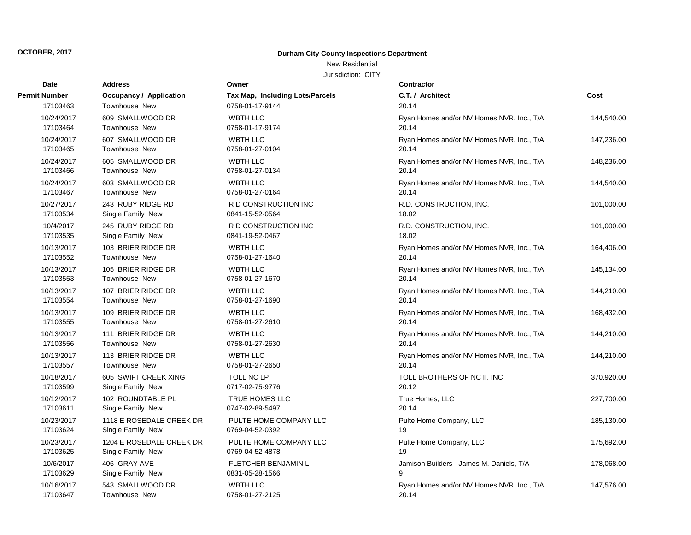## **Durham City-County Inspections Department**

# New Residential

| Date                 | Address                        | Owner                                  | <b>Contractor</b>                         |            |
|----------------------|--------------------------------|----------------------------------------|-------------------------------------------|------------|
| <b>Permit Number</b> | <b>Occupancy / Application</b> | <b>Tax Map, Including Lots/Parcels</b> | C.T. / Architect                          | Cost       |
| 17103463             | Townhouse New                  | 0758-01-17-9144                        | 20.14                                     |            |
| 10/24/2017           | 609 SMALLWOOD DR               | <b>WBTH LLC</b>                        | Ryan Homes and/or NV Homes NVR, Inc., T/A | 144,540.00 |
| 17103464             | Townhouse New                  | 0758-01-17-9174                        | 20.14                                     |            |
| 10/24/2017           | 607 SMALLWOOD DR               | <b>WBTH LLC</b>                        | Ryan Homes and/or NV Homes NVR, Inc., T/A | 147,236.00 |
| 17103465             | Townhouse New                  | 0758-01-27-0104                        | 20.14                                     |            |
| 10/24/2017           | 605 SMALLWOOD DR               | <b>WBTH LLC</b>                        | Ryan Homes and/or NV Homes NVR, Inc., T/A | 148,236.00 |
| 17103466             | Townhouse New                  | 0758-01-27-0134                        | 20.14                                     |            |
| 10/24/2017           | 603 SMALLWOOD DR               | <b>WBTH LLC</b>                        | Ryan Homes and/or NV Homes NVR, Inc., T/A | 144,540.00 |
| 17103467             | Townhouse New                  | 0758-01-27-0164                        | 20.14                                     |            |
| 10/27/2017           | 243 RUBY RIDGE RD              | R D CONSTRUCTION INC                   | R.D. CONSTRUCTION, INC.                   | 101,000.00 |
| 17103534             | Single Family New              | 0841-15-52-0564                        | 18.02                                     |            |
| 10/4/2017            | 245 RUBY RIDGE RD              | R D CONSTRUCTION INC                   | R.D. CONSTRUCTION, INC.                   | 101,000.00 |
| 17103535             | Single Family New              | 0841-19-52-0467                        | 18.02                                     |            |
| 10/13/2017           | 103 BRIER RIDGE DR             | <b>WBTH LLC</b>                        | Ryan Homes and/or NV Homes NVR, Inc., T/A | 164,406.00 |
| 17103552             | <b>Townhouse New</b>           | 0758-01-27-1640                        | 20.14                                     |            |
| 10/13/2017           | 105 BRIER RIDGE DR             | <b>WBTH LLC</b>                        | Ryan Homes and/or NV Homes NVR, Inc., T/A | 145,134.00 |
| 17103553             | Townhouse New                  | 0758-01-27-1670                        | 20.14                                     |            |
| 10/13/2017           | 107 BRIER RIDGE DR             | <b>WBTH LLC</b>                        | Ryan Homes and/or NV Homes NVR, Inc., T/A | 144,210.00 |
| 17103554             | <b>Townhouse New</b>           | 0758-01-27-1690                        | 20.14                                     |            |
| 10/13/2017           | 109 BRIER RIDGE DR             | <b>WBTH LLC</b>                        | Ryan Homes and/or NV Homes NVR, Inc., T/A | 168,432.00 |
| 17103555             | Townhouse New                  | 0758-01-27-2610                        | 20.14                                     |            |
| 10/13/2017           | 111 BRIER RIDGE DR             | <b>WBTH LLC</b>                        | Ryan Homes and/or NV Homes NVR, Inc., T/A | 144,210.00 |
| 17103556             | Townhouse New                  | 0758-01-27-2630                        | 20.14                                     |            |
| 10/13/2017           | 113 BRIER RIDGE DR             | <b>WBTH LLC</b>                        | Ryan Homes and/or NV Homes NVR, Inc., T/A | 144,210.00 |
| 17103557             | Townhouse New                  | 0758-01-27-2650                        | 20.14                                     |            |
| 10/18/2017           | 605 SWIFT CREEK XING           | TOLL NC LP                             | TOLL BROTHERS OF NC II, INC.              | 370,920.00 |
| 17103599             | Single Family New              | 0717-02-75-9776                        | 20.12                                     |            |
| 10/12/2017           | 102 ROUNDTABLE PL              | TRUE HOMES LLC                         | True Homes, LLC                           | 227,700.00 |
| 17103611             | Single Family New              | 0747-02-89-5497                        | 20.14                                     |            |
| 10/23/2017           | 1118 E ROSEDALE CREEK DR       | PULTE HOME COMPANY LLC                 | Pulte Home Company, LLC                   | 185,130.00 |
| 17103624             | Single Family New              | 0769-04-52-0392                        | 19                                        |            |
| 10/23/2017           | 1204 E ROSEDALE CREEK DR       | PULTE HOME COMPANY LLC                 | Pulte Home Company, LLC                   | 175,692.00 |
| 17103625             | Single Family New              | 0769-04-52-4878                        | 19                                        |            |
| 10/6/2017            | 406 GRAY AVE                   | FLETCHER BENJAMIN L                    | Jamison Builders - James M. Daniels, T/A  | 178,068.00 |
| 17103629             | Single Family New              | 0831-05-28-1566                        | 9                                         |            |
| 10/16/2017           | 543 SMALLWOOD DR               | <b>WBTH LLC</b>                        | Ryan Homes and/or NV Homes NVR, Inc., T/A | 147,576.00 |
| 17103647             | Townhouse New                  | 0758-01-27-2125                        | 20.14                                     |            |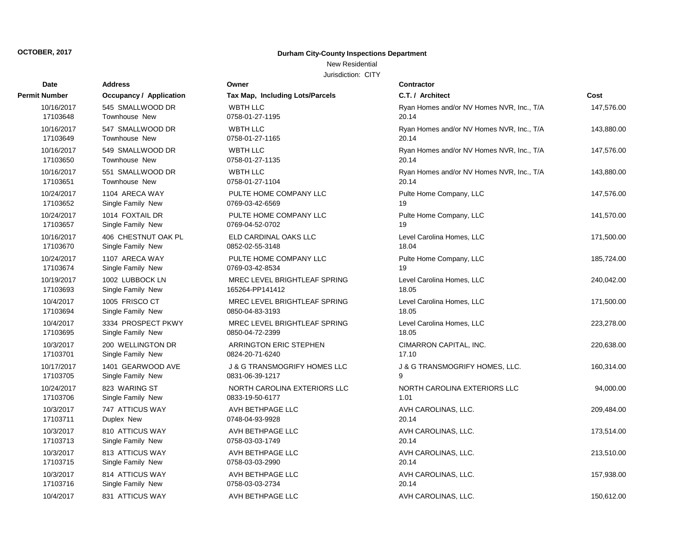## **Durham City-County Inspections Department**

# New Residential

| Date                 | <b>Address</b>          | Owner                                   | <b>Contractor</b>                         |            |
|----------------------|-------------------------|-----------------------------------------|-------------------------------------------|------------|
| <b>Permit Number</b> | Occupancy / Application | Tax Map, Including Lots/Parcels         | C.T. / Architect                          | Cost       |
| 10/16/2017           | 545 SMALLWOOD DR        | <b>WBTH LLC</b>                         | Ryan Homes and/or NV Homes NVR, Inc., T/A | 147,576.00 |
| 17103648             | Townhouse New           | 0758-01-27-1195                         | 20.14                                     |            |
| 10/16/2017           | 547 SMALLWOOD DR        | <b>WBTH LLC</b>                         | Ryan Homes and/or NV Homes NVR, Inc., T/A | 143,880.00 |
| 17103649             | Townhouse New           | 0758-01-27-1165                         | 20.14                                     |            |
| 10/16/2017           | 549 SMALLWOOD DR        | <b>WBTH LLC</b>                         | Ryan Homes and/or NV Homes NVR, Inc., T/A | 147,576.00 |
| 17103650             | Townhouse New           | 0758-01-27-1135                         | 20.14                                     |            |
| 10/16/2017           | 551 SMALLWOOD DR        | <b>WBTH LLC</b>                         | Ryan Homes and/or NV Homes NVR, Inc., T/A | 143,880.00 |
| 17103651             | Townhouse New           | 0758-01-27-1104                         | 20.14                                     |            |
| 10/24/2017           | 1104 ARECA WAY          | PULTE HOME COMPANY LLC                  | Pulte Home Company, LLC                   | 147,576.00 |
| 17103652             | Single Family New       | 0769-03-42-6569                         | 19                                        |            |
| 10/24/2017           | 1014 FOXTAIL DR         | PULTE HOME COMPANY LLC                  | Pulte Home Company, LLC                   | 141,570.00 |
| 17103657             | Single Family New       | 0769-04-52-0702                         | 19                                        |            |
| 10/16/2017           | 406 CHESTNUT OAK PL     | ELD CARDINAL OAKS LLC                   | Level Carolina Homes, LLC                 | 171,500.00 |
| 17103670             | Single Family New       | 0852-02-55-3148                         | 18.04                                     |            |
| 10/24/2017           | 1107 ARECA WAY          | PULTE HOME COMPANY LLC                  | Pulte Home Company, LLC                   | 185,724.00 |
| 17103674             | Single Family New       | 0769-03-42-8534                         | 19                                        |            |
| 10/19/2017           | 1002 LUBBOCK LN         | MREC LEVEL BRIGHTLEAF SPRING            | Level Carolina Homes, LLC                 | 240,042.00 |
| 17103693             | Single Family New       | 165264-PP141412                         | 18.05                                     |            |
| 10/4/2017            | 1005 FRISCO CT          | MREC LEVEL BRIGHTLEAF SPRING            | Level Carolina Homes, LLC                 | 171,500.00 |
| 17103694             | Single Family New       | 0850-04-83-3193                         | 18.05                                     |            |
| 10/4/2017            | 3334 PROSPECT PKWY      | MREC LEVEL BRIGHTLEAF SPRING            | Level Carolina Homes, LLC                 | 223,278.00 |
| 17103695             | Single Family New       | 0850-04-72-2399                         | 18.05                                     |            |
| 10/3/2017            | 200 WELLINGTON DR       | ARRINGTON ERIC STEPHEN                  | CIMARRON CAPITAL, INC.                    | 220,638.00 |
| 17103701             | Single Family New       | 0824-20-71-6240                         | 17.10                                     |            |
| 10/17/2017           | 1401 GEARWOOD AVE       | <b>J &amp; G TRANSMOGRIFY HOMES LLC</b> | <b>J &amp; G TRANSMOGRIFY HOMES, LLC.</b> | 160,314.00 |
| 17103705             | Single Family New       | 0831-06-39-1217                         | 9                                         |            |
| 10/24/2017           | 823 WARING ST           | NORTH CAROLINA EXTERIORS LLC            | NORTH CAROLINA EXTERIORS LLC              | 94,000.00  |
| 17103706             | Single Family New       | 0833-19-50-6177                         | 1.01                                      |            |
| 10/3/2017            | 747 ATTICUS WAY         | AVH BETHPAGE LLC                        | AVH CAROLINAS, LLC.                       | 209,484.00 |
| 17103711             | Duplex New              | 0748-04-93-9928                         | 20.14                                     |            |
| 10/3/2017            | 810 ATTICUS WAY         | AVH BETHPAGE LLC                        | AVH CAROLINAS, LLC.                       | 173,514.00 |
| 17103713             | Single Family New       | 0758-03-03-1749                         | 20.14                                     |            |
| 10/3/2017            | 813 ATTICUS WAY         | AVH BETHPAGE LLC                        | AVH CAROLINAS, LLC.                       | 213,510.00 |
| 17103715             | Single Family New       | 0758-03-03-2990                         | 20.14                                     |            |
| 10/3/2017            | 814 ATTICUS WAY         | AVH BETHPAGE LLC                        | AVH CAROLINAS, LLC.                       | 157,938.00 |
| 17103716             | Single Family New       | 0758-03-03-2734                         | 20.14                                     |            |
| 10/4/2017            | 831 ATTICUS WAY         | AVH BETHPAGE LLC                        | AVH CAROLINAS, LLC.                       | 150,612.00 |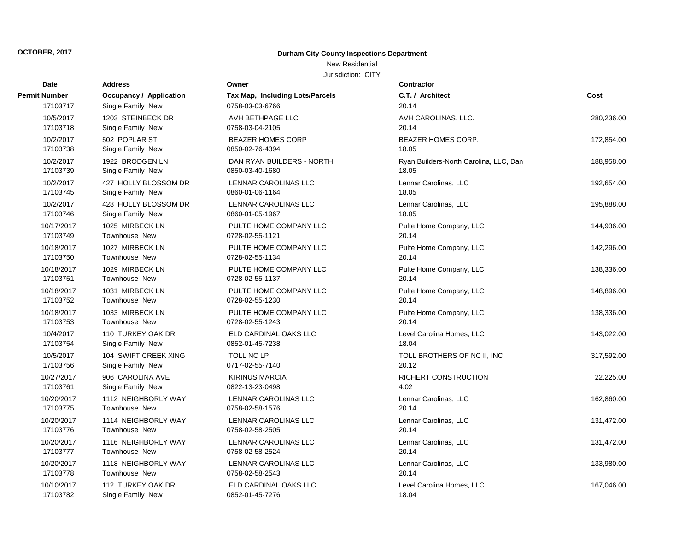## **Durham City-County Inspections Department**

## New Residential

| Date                 | <b>Address</b>          | Owner                           | Contractor                             |            |
|----------------------|-------------------------|---------------------------------|----------------------------------------|------------|
| <b>Permit Number</b> | Occupancy / Application | Tax Map, Including Lots/Parcels | C.T. / Architect                       | Cost       |
| 17103717             | Single Family New       | 0758-03-03-6766                 | 20.14                                  |            |
| 10/5/2017            | 1203 STEINBECK DR       | AVH BETHPAGE LLC                | AVH CAROLINAS, LLC.                    | 280,236.00 |
| 17103718             | Single Family New       | 0758-03-04-2105                 | 20.14                                  |            |
| 10/2/2017            | 502 POPLAR ST           | <b>BEAZER HOMES CORP</b>        | <b>BEAZER HOMES CORP.</b>              | 172,854.00 |
| 17103738             | Single Family New       | 0850-02-76-4394                 | 18.05                                  |            |
| 10/2/2017            | 1922 BRODGEN LN         | DAN RYAN BUILDERS - NORTH       | Ryan Builders-North Carolina, LLC, Dan | 188,958.00 |
| 17103739             | Single Family New       | 0850-03-40-1680                 | 18.05                                  |            |
| 10/2/2017            | 427 HOLLY BLOSSOM DR    | <b>LENNAR CAROLINAS LLC</b>     | Lennar Carolinas, LLC                  | 192,654.00 |
| 17103745             | Single Family New       | 0860-01-06-1164                 | 18.05                                  |            |
| 10/2/2017            | 428 HOLLY BLOSSOM DR    | <b>LENNAR CAROLINAS LLC</b>     | Lennar Carolinas, LLC                  | 195,888.00 |
| 17103746             | Single Family New       | 0860-01-05-1967                 | 18.05                                  |            |
| 10/17/2017           | 1025 MIRBECK LN         | PULTE HOME COMPANY LLC          | Pulte Home Company, LLC                | 144,936.00 |
| 17103749             | Townhouse New           | 0728-02-55-1121                 | 20.14                                  |            |
| 10/18/2017           | 1027 MIRBECK LN         | PULTE HOME COMPANY LLC          | Pulte Home Company, LLC                | 142,296.00 |
| 17103750             | <b>Townhouse New</b>    | 0728-02-55-1134                 | 20.14                                  |            |
| 10/18/2017           | 1029 MIRBECK LN         | PULTE HOME COMPANY LLC          | Pulte Home Company, LLC                | 138,336.00 |
| 17103751             | Townhouse New           | 0728-02-55-1137                 | 20.14                                  |            |
| 10/18/2017           | 1031 MIRBECK LN         | PULTE HOME COMPANY LLC          | Pulte Home Company, LLC                | 148,896.00 |
| 17103752             | Townhouse New           | 0728-02-55-1230                 | 20.14                                  |            |
| 10/18/2017           | 1033 MIRBECK LN         | PULTE HOME COMPANY LLC          | Pulte Home Company, LLC                | 138,336.00 |
| 17103753             | Townhouse New           | 0728-02-55-1243                 | 20.14                                  |            |
| 10/4/2017            | 110 TURKEY OAK DR       | ELD CARDINAL OAKS LLC           | Level Carolina Homes, LLC              | 143,022.00 |
| 17103754             | Single Family New       | 0852-01-45-7238                 | 18.04                                  |            |
| 10/5/2017            | 104 SWIFT CREEK XING    | TOLL NC LP                      | TOLL BROTHERS OF NC II, INC.           | 317,592.00 |
| 17103756             | Single Family New       | 0717-02-55-7140                 | 20.12                                  |            |
| 10/27/2017           | 906 CAROLINA AVE        | <b>KIRINUS MARCIA</b>           | RICHERT CONSTRUCTION                   | 22,225.00  |
| 17103761             | Single Family New       | 0822-13-23-0498                 | 4.02                                   |            |
| 10/20/2017           | 1112 NEIGHBORLY WAY     | LENNAR CAROLINAS LLC            | Lennar Carolinas, LLC                  | 162,860.00 |
| 17103775             | Townhouse New           | 0758-02-58-1576                 | 20.14                                  |            |
| 10/20/2017           | 1114 NEIGHBORLY WAY     | LENNAR CAROLINAS LLC            | Lennar Carolinas, LLC                  | 131,472.00 |
| 17103776             | Townhouse New           | 0758-02-58-2505                 | 20.14                                  |            |
| 10/20/2017           | 1116 NEIGHBORLY WAY     | LENNAR CAROLINAS LLC            | Lennar Carolinas, LLC                  | 131,472.00 |
| 17103777             | Townhouse New           | 0758-02-58-2524                 | 20.14                                  |            |
| 10/20/2017           | 1118 NEIGHBORLY WAY     | <b>LENNAR CAROLINAS LLC</b>     | Lennar Carolinas, LLC                  | 133,980.00 |
| 17103778             | Townhouse New           | 0758-02-58-2543                 | 20.14                                  |            |
| 10/10/2017           | 112 TURKEY OAK DR       | ELD CARDINAL OAKS LLC           | Level Carolina Homes, LLC              | 167,046.00 |
| 17103782             | Single Family New       | 0852-01-45-7276                 | 18.04                                  |            |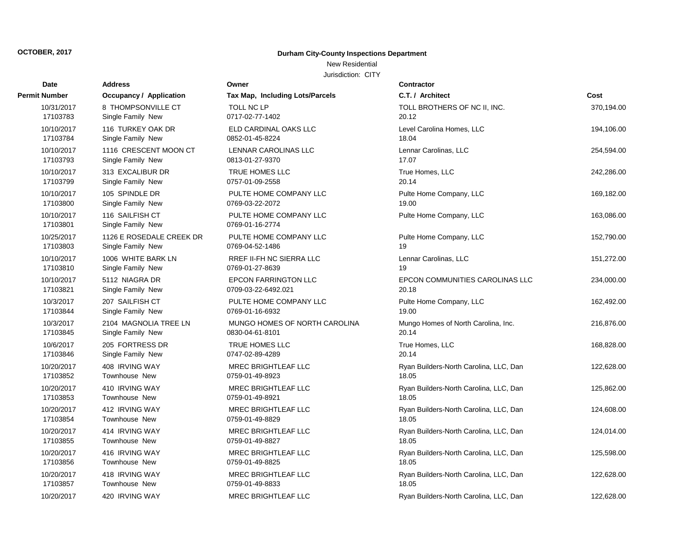## **Durham City-County Inspections Department**

## New Residential

| Date                   | <b>Address</b>                       | Owner                                     | Contractor                             |            |
|------------------------|--------------------------------------|-------------------------------------------|----------------------------------------|------------|
| <b>Permit Number</b>   | <b>Occupancy / Application</b>       | Tax Map, Including Lots/Parcels           | C.T. / Architect                       | Cost       |
| 10/31/2017             | 8 THOMPSONVILLE CT                   | <b>TOLL NC LP</b>                         | TOLL BROTHERS OF NC II, INC.           | 370,194.00 |
| 17103783               | Single Family New                    | 0717-02-77-1402                           | 20.12                                  |            |
| 10/10/2017             | 116 TURKEY OAK DR                    | ELD CARDINAL OAKS LLC                     | Level Carolina Homes, LLC              | 194,106.00 |
| 17103784               | Single Family New                    | 0852-01-45-8224                           | 18.04                                  |            |
| 10/10/2017             | 1116 CRESCENT MOON CT                | LENNAR CAROLINAS LLC                      | Lennar Carolinas, LLC                  | 254,594.00 |
| 17103793               | Single Family New                    | 0813-01-27-9370                           | 17.07                                  |            |
| 10/10/2017             | 313 EXCALIBUR DR                     | <b>TRUE HOMES LLC</b>                     | True Homes, LLC                        | 242,286.00 |
| 17103799               | Single Family New                    | 0757-01-09-2558                           | 20.14                                  |            |
| 10/10/2017             | 105 SPINDLE DR                       | PULTE HOME COMPANY LLC                    | Pulte Home Company, LLC                | 169,182.00 |
| 17103800               | Single Family New                    | 0769-03-22-2072                           | 19.00                                  |            |
| 10/10/2017<br>17103801 | 116 SAILFISH CT<br>Single Family New | PULTE HOME COMPANY LLC<br>0769-01-16-2774 | Pulte Home Company, LLC                | 163,086.00 |
| 10/25/2017             | 1126 E ROSEDALE CREEK DR             | PULTE HOME COMPANY LLC                    | Pulte Home Company, LLC                | 152,790.00 |
| 17103803               | Single Family New                    | 0769-04-52-1486                           | 19                                     |            |
| 10/10/2017             | 1006 WHITE BARK LN                   | RREF II-FH NC SIERRA LLC                  | Lennar Carolinas, LLC                  | 151,272.00 |
| 17103810               | Single Family New                    | 0769-01-27-8639                           | 19                                     |            |
| 10/10/2017             | 5112 NIAGRA DR                       | <b>EPCON FARRINGTON LLC</b>               | EPCON COMMUNITIES CAROLINAS LLC        | 234,000.00 |
| 17103821               | Single Family New                    | 0709-03-22-6492.021                       | 20.18                                  |            |
| 10/3/2017              | 207 SAILFISH CT                      | PULTE HOME COMPANY LLC                    | Pulte Home Company, LLC                | 162,492.00 |
| 17103844               | Single Family New                    | 0769-01-16-6932                           | 19.00                                  |            |
| 10/3/2017              | 2104 MAGNOLIA TREE LN                | MUNGO HOMES OF NORTH CAROLINA             | Mungo Homes of North Carolina, Inc.    | 216,876.00 |
| 17103845               | Single Family New                    | 0830-04-61-8101                           | 20.14                                  |            |
| 10/6/2017              | 205 FORTRESS DR                      | TRUE HOMES LLC                            | True Homes, LLC                        | 168,828.00 |
| 17103846               | Single Family New                    | 0747-02-89-4289                           | 20.14                                  |            |
| 10/20/2017             | 408 IRVING WAY                       | MREC BRIGHTLEAF LLC                       | Ryan Builders-North Carolina, LLC, Dan | 122,628.00 |
| 17103852               | Townhouse New                        | 0759-01-49-8923                           | 18.05                                  |            |
| 10/20/2017             | 410 IRVING WAY                       | <b>MREC BRIGHTLEAF LLC</b>                | Ryan Builders-North Carolina, LLC, Dan | 125,862.00 |
| 17103853               | Townhouse New                        | 0759-01-49-8921                           | 18.05                                  |            |
| 10/20/2017             | 412 IRVING WAY                       | <b>MREC BRIGHTLEAF LLC</b>                | Ryan Builders-North Carolina, LLC, Dan | 124,608.00 |
| 17103854               | Townhouse New                        | 0759-01-49-8829                           | 18.05                                  |            |
| 10/20/2017             | 414 IRVING WAY                       | MREC BRIGHTLEAF LLC                       | Ryan Builders-North Carolina, LLC, Dan | 124,014.00 |
| 17103855               | Townhouse New                        | 0759-01-49-8827                           | 18.05                                  |            |
| 10/20/2017             | 416 IRVING WAY                       | <b>MREC BRIGHTLEAF LLC</b>                | Ryan Builders-North Carolina, LLC, Dan | 125,598.00 |
| 17103856               | <b>Townhouse New</b>                 | 0759-01-49-8825                           | 18.05                                  |            |
| 10/20/2017             | 418 IRVING WAY                       | <b>MREC BRIGHTLEAF LLC</b>                | Ryan Builders-North Carolina, LLC, Dan | 122,628.00 |
| 17103857               | <b>Townhouse New</b>                 | 0759-01-49-8833                           | 18.05                                  |            |
| 10/20/2017             | 420 IRVING WAY                       | <b>MREC BRIGHTLEAF LLC</b>                | Ryan Builders-North Carolina, LLC, Dan | 122,628.00 |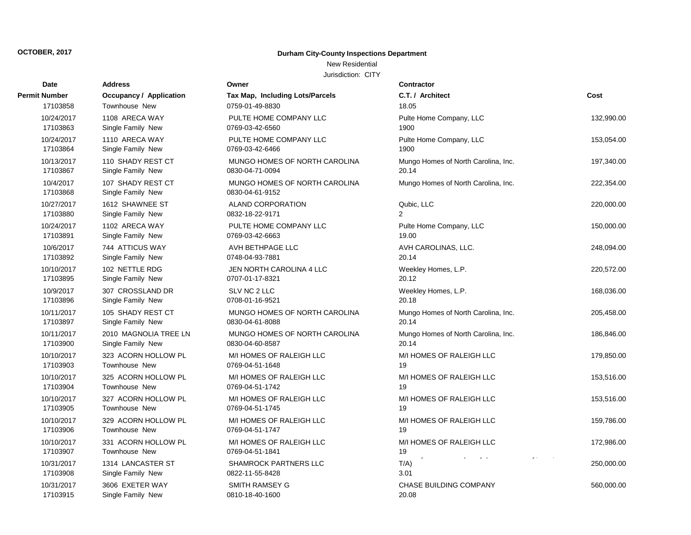## **Durham City-County Inspections Department**

## New Residential

| Date                   | <b>Address</b>                         | Owner                                            | Contractor                           |            |
|------------------------|----------------------------------------|--------------------------------------------------|--------------------------------------|------------|
| <b>Permit Number</b>   | <b>Occupancy / Application</b>         | Tax Map, Including Lots/Parcels                  | C.T. / Architect                     | Cost       |
| 17103858               | <b>Townhouse New</b>                   | 0759-01-49-8830                                  | 18.05                                |            |
| 10/24/2017             | 1108 ARECA WAY                         | PULTE HOME COMPANY LLC                           | Pulte Home Company, LLC              | 132,990.00 |
| 17103863               | Single Family New                      | 0769-03-42-6560                                  | 1900                                 |            |
| 10/24/2017             | 1110 ARECA WAY                         | PULTE HOME COMPANY LLC                           | Pulte Home Company, LLC              | 153,054.00 |
| 17103864               | Single Family New                      | 0769-03-42-6466                                  | 1900                                 |            |
| 10/13/2017             | 110 SHADY REST CT                      | MUNGO HOMES OF NORTH CAROLINA                    | Mungo Homes of North Carolina, Inc.  | 197,340.00 |
| 17103867               | Single Family New                      | 0830-04-71-0094                                  | 20.14                                |            |
| 10/4/2017<br>17103868  | 107 SHADY REST CT<br>Single Family New | MUNGO HOMES OF NORTH CAROLINA<br>0830-04-61-9152 | Mungo Homes of North Carolina, Inc.  | 222,354.00 |
| 10/27/2017             | 1612 SHAWNEE ST                        | ALAND CORPORATION                                | Qubic, LLC                           | 220,000.00 |
| 17103880               | Single Family New                      | 0832-18-22-9171                                  | $\overline{2}$                       |            |
| 10/24/2017             | 1102 ARECA WAY                         | PULTE HOME COMPANY LLC                           | Pulte Home Company, LLC              | 150,000.00 |
| 17103891               | Single Family New                      | 0769-03-42-6663                                  | 19.00                                |            |
| 10/6/2017              | 744 ATTICUS WAY                        | AVH BETHPAGE LLC                                 | AVH CAROLINAS, LLC.                  | 248,094.00 |
| 17103892               | Single Family New                      | 0748-04-93-7881                                  | 20.14                                |            |
| 10/10/2017             | 102 NETTLE RDG                         | JEN NORTH CAROLINA 4 LLC                         | Weekley Homes, L.P.                  | 220,572.00 |
| 17103895               | Single Family New                      | 0707-01-17-8321                                  | 20.12                                |            |
| 10/9/2017              | 307 CROSSLAND DR                       | SLV NC 2 LLC                                     | Weekley Homes, L.P.                  | 168,036.00 |
| 17103896               | Single Family New                      | 0708-01-16-9521                                  | 20.18                                |            |
| 10/11/2017             | 105 SHADY REST CT                      | MUNGO HOMES OF NORTH CAROLINA                    | Mungo Homes of North Carolina, Inc.  | 205,458.00 |
| 17103897               | Single Family New                      | 0830-04-61-8088                                  | 20.14                                |            |
| 10/11/2017             | 2010 MAGNOLIA TREE LN                  | MUNGO HOMES OF NORTH CAROLINA                    | Mungo Homes of North Carolina, Inc.  | 186,846.00 |
| 17103900               | Single Family New                      | 0830-04-60-8587                                  | 20.14                                |            |
| 10/10/2017             | 323 ACORN HOLLOW PL                    | M/I HOMES OF RALEIGH LLC                         | M/I HOMES OF RALEIGH LLC             | 179,850.00 |
| 17103903               | <b>Townhouse New</b>                   | 0769-04-51-1648                                  | 19                                   |            |
| 10/10/2017             | 325 ACORN HOLLOW PL                    | M/I HOMES OF RALEIGH LLC                         | M/I HOMES OF RALEIGH LLC             | 153,516.00 |
| 17103904               | <b>Townhouse New</b>                   | 0769-04-51-1742                                  | 19                                   |            |
| 10/10/2017             | 327 ACORN HOLLOW PL                    | M/I HOMES OF RALEIGH LLC                         | M/I HOMES OF RALEIGH LLC             | 153,516.00 |
| 17103905               | <b>Townhouse New</b>                   | 0769-04-51-1745                                  | 19                                   |            |
| 10/10/2017             | 329 ACORN HOLLOW PL                    | M/I HOMES OF RALEIGH LLC                         | M/I HOMES OF RALEIGH LLC             | 159,786.00 |
| 17103906               | Townhouse New                          | 0769-04-51-1747                                  | 19                                   |            |
| 10/10/2017             | 331 ACORN HOLLOW PL                    | M/I HOMES OF RALEIGH LLC                         | M/I HOMES OF RALEIGH LLC             | 172,986.00 |
| 17103907               | Townhouse New                          | 0769-04-51-1841                                  | 19                                   |            |
| 10/31/2017<br>17103908 | 1314 LANCASTER ST<br>Single Family New | <b>SHAMROCK PARTNERS LLC</b><br>0822-11-55-8428  | $\omega = \infty$<br>$T/A$ )<br>3.01 | 250,000.00 |
| 10/31/2017             | 3606 EXETER WAY                        | <b>SMITH RAMSEY G</b>                            | <b>CHASE BUILDING COMPANY</b>        | 560,000.00 |
| 17103915               | Single Family New                      | 0810-18-40-1600                                  | 20.08                                |            |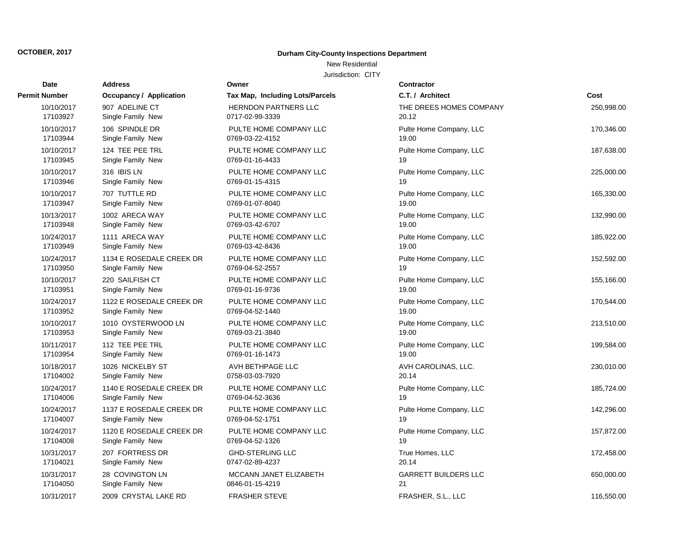## **Durham City-County Inspections Department**

## New Residential

| Date                 | <b>Address</b>                 | Owner                           | <b>Contractor</b>           |            |
|----------------------|--------------------------------|---------------------------------|-----------------------------|------------|
| <b>Permit Number</b> | <b>Occupancy / Application</b> | Tax Map, Including Lots/Parcels | C.T. / Architect            | Cost       |
| 10/10/2017           | 907 ADELINE CT                 | <b>HERNDON PARTNERS LLC</b>     | THE DREES HOMES COMPANY     | 250,998.00 |
| 17103927             | Single Family New              | 0717-02-99-3339                 | 20.12                       |            |
| 10/10/2017           | 106 SPINDLE DR                 | PULTE HOME COMPANY LLC          | Pulte Home Company, LLC     | 170,346.00 |
| 17103944             | Single Family New              | 0769-03-22-4152                 | 19.00                       |            |
| 10/10/2017           | 124 TEE PEE TRL                | PULTE HOME COMPANY LLC          | Pulte Home Company, LLC     | 187,638.00 |
| 17103945             | Single Family New              | 0769-01-16-4433                 | 19                          |            |
| 10/10/2017           | 316 IBIS LN                    | PULTE HOME COMPANY LLC          | Pulte Home Company, LLC     | 225,000.00 |
| 17103946             | Single Family New              | 0769-01-15-4315                 | 19                          |            |
| 10/10/2017           | 707 TUTTLE RD                  | PULTE HOME COMPANY LLC          | Pulte Home Company, LLC     | 165,330.00 |
| 17103947             | Single Family New              | 0769-01-07-8040                 | 19.00                       |            |
| 10/13/2017           | 1002 ARECA WAY                 | PULTE HOME COMPANY LLC          | Pulte Home Company, LLC     | 132,990.00 |
| 17103948             | Single Family New              | 0769-03-42-6707                 | 19.00                       |            |
| 10/24/2017           | 1111 ARECA WAY                 | PULTE HOME COMPANY LLC          | Pulte Home Company, LLC     | 185,922.00 |
| 17103949             | Single Family New              | 0769-03-42-8436                 | 19.00                       |            |
| 10/24/2017           | 1134 E ROSEDALE CREEK DR       | PULTE HOME COMPANY LLC          | Pulte Home Company, LLC     | 152,592.00 |
| 17103950             | Single Family New              | 0769-04-52-2557                 | 19                          |            |
| 10/10/2017           | 220 SAILFISH CT                | PULTE HOME COMPANY LLC          | Pulte Home Company, LLC     | 155,166.00 |
| 17103951             | Single Family New              | 0769-01-16-9736                 | 19.00                       |            |
| 10/24/2017           | 1122 E ROSEDALE CREEK DR       | PULTE HOME COMPANY LLC          | Pulte Home Company, LLC     | 170,544.00 |
| 17103952             | Single Family New              | 0769-04-52-1440                 | 19.00                       |            |
| 10/10/2017           | 1010 OYSTERWOOD LN             | PULTE HOME COMPANY LLC          | Pulte Home Company, LLC     | 213,510.00 |
| 17103953             | Single Family New              | 0769-03-21-3840                 | 19.00                       |            |
| 10/11/2017           | 112 TEE PEE TRL                | PULTE HOME COMPANY LLC          | Pulte Home Company, LLC     | 199,584.00 |
| 17103954             | Single Family New              | 0769-01-16-1473                 | 19.00                       |            |
| 10/18/2017           | 1026 NICKELBY ST               | AVH BETHPAGE LLC                | AVH CAROLINAS, LLC.         | 230,010.00 |
| 17104002             | Single Family New              | 0758-03-03-7920                 | 20.14                       |            |
| 10/24/2017           | 1140 E ROSEDALE CREEK DR       | PULTE HOME COMPANY LLC          | Pulte Home Company, LLC     | 185,724.00 |
| 17104006             | Single Family New              | 0769-04-52-3636                 | 19                          |            |
| 10/24/2017           | 1137 E ROSEDALE CREEK DR       | PULTE HOME COMPANY LLC          | Pulte Home Company, LLC     | 142,296.00 |
| 17104007             | Single Family New              | 0769-04-52-1751                 | 19                          |            |
| 10/24/2017           | 1120 E ROSEDALE CREEK DR       | PULTE HOME COMPANY LLC          | Pulte Home Company, LLC     | 157,872.00 |
| 17104008             | Single Family New              | 0769-04-52-1326                 | 19                          |            |
| 10/31/2017           | 207 FORTRESS DR                | <b>GHD-STERLING LLC</b>         | True Homes, LLC             | 172,458.00 |
| 17104021             | Single Family New              | 0747-02-89-4237                 | 20.14                       |            |
| 10/31/2017           | 28 COVINGTON LN                | MCCANN JANET ELIZABETH          | <b>GARRETT BUILDERS LLC</b> | 650,000.00 |
| 17104050             | Single Family New              | 0846-01-15-4219                 | 21                          |            |
| 10/31/2017           | 2009 CRYSTAL LAKE RD           | <b>FRASHER STEVE</b>            | FRASHER, S.L., LLC          | 116,550.00 |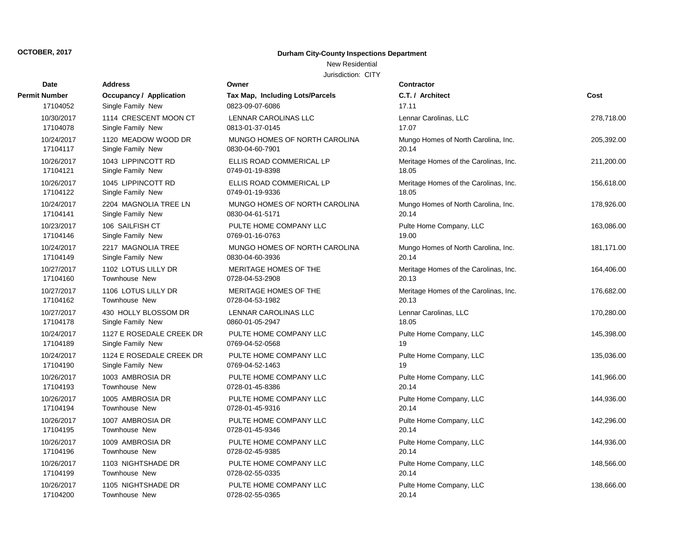## **Durham City-County Inspections Department**

# New Residential

| Date          | <b>Address</b>                 | Owner                           | <b>Contractor</b>                     |            |
|---------------|--------------------------------|---------------------------------|---------------------------------------|------------|
| Permit Number | <b>Occupancy / Application</b> | Tax Map, Including Lots/Parcels | C.T. / Architect                      | Cost       |
| 17104052      | Single Family New              | 0823-09-07-6086                 | 17.11                                 |            |
| 10/30/2017    | 1114 CRESCENT MOON CT          | LENNAR CAROLINAS LLC            | Lennar Carolinas, LLC                 | 278,718.00 |
| 17104078      | Single Family New              | 0813-01-37-0145                 | 17.07                                 |            |
| 10/24/2017    | 1120 MEADOW WOOD DR            | MUNGO HOMES OF NORTH CAROLINA   | Mungo Homes of North Carolina, Inc.   | 205,392.00 |
| 17104117      | Single Family New              | 0830-04-60-7901                 | 20.14                                 |            |
| 10/26/2017    | 1043 LIPPINCOTT RD             | ELLIS ROAD COMMERICAL LP        | Meritage Homes of the Carolinas, Inc. | 211,200.00 |
| 17104121      | Single Family New              | 0749-01-19-8398                 | 18.05                                 |            |
| 10/26/2017    | 1045 LIPPINCOTT RD             | ELLIS ROAD COMMERICAL LP        | Meritage Homes of the Carolinas, Inc. | 156,618.00 |
| 17104122      | Single Family New              | 0749-01-19-9336                 | 18.05                                 |            |
| 10/24/2017    | 2204 MAGNOLIA TREE LN          | MUNGO HOMES OF NORTH CAROLINA   | Mungo Homes of North Carolina, Inc.   | 178,926.00 |
| 17104141      | Single Family New              | 0830-04-61-5171                 | 20.14                                 |            |
| 10/23/2017    | 106 SAILFISH CT                | PULTE HOME COMPANY LLC          | Pulte Home Company, LLC               | 163,086.00 |
| 17104146      | Single Family New              | 0769-01-16-0763                 | 19.00                                 |            |
| 10/24/2017    | 2217 MAGNOLIA TREE             | MUNGO HOMES OF NORTH CAROLINA   | Mungo Homes of North Carolina, Inc.   | 181,171.00 |
| 17104149      | Single Family New              | 0830-04-60-3936                 | 20.14                                 |            |
| 10/27/2017    | 1102 LOTUS LILLY DR            | <b>MERITAGE HOMES OF THE</b>    | Meritage Homes of the Carolinas, Inc. | 164,406.00 |
| 17104160      | <b>Townhouse New</b>           | 0728-04-53-2908                 | 20.13                                 |            |
| 10/27/2017    | 1106 LOTUS LILLY DR            | MERITAGE HOMES OF THE           | Meritage Homes of the Carolinas, Inc. | 176,682.00 |
| 17104162      | <b>Townhouse New</b>           | 0728-04-53-1982                 | 20.13                                 |            |
| 10/27/2017    | 430 HOLLY BLOSSOM DR           | LENNAR CAROLINAS LLC            | Lennar Carolinas, LLC                 | 170,280.00 |
| 17104178      | Single Family New              | 0860-01-05-2947                 | 18.05                                 |            |
| 10/24/2017    | 1127 E ROSEDALE CREEK DR       | PULTE HOME COMPANY LLC          | Pulte Home Company, LLC               | 145,398.00 |
| 17104189      | Single Family New              | 0769-04-52-0568                 | 19                                    |            |
| 10/24/2017    | 1124 E ROSEDALE CREEK DR       | PULTE HOME COMPANY LLC          | Pulte Home Company, LLC               | 135,036.00 |
| 17104190      | Single Family New              | 0769-04-52-1463                 | 19                                    |            |
| 10/26/2017    | 1003 AMBROSIA DR               | PULTE HOME COMPANY LLC          | Pulte Home Company, LLC               | 141,966.00 |
| 17104193      | Townhouse New                  | 0728-01-45-8386                 | 20.14                                 |            |
| 10/26/2017    | 1005 AMBROSIA DR               | PULTE HOME COMPANY LLC          | Pulte Home Company, LLC               | 144,936.00 |
| 17104194      | Townhouse New                  | 0728-01-45-9316                 | 20.14                                 |            |
| 10/26/2017    | 1007 AMBROSIA DR               | PULTE HOME COMPANY LLC          | Pulte Home Company, LLC               | 142,296.00 |
| 17104195      | <b>Townhouse New</b>           | 0728-01-45-9346                 | 20.14                                 |            |
| 10/26/2017    | 1009 AMBROSIA DR               | PULTE HOME COMPANY LLC          | Pulte Home Company, LLC               | 144,936.00 |
| 17104196      | Townhouse New                  | 0728-02-45-9385                 | 20.14                                 |            |
| 10/26/2017    | 1103 NIGHTSHADE DR             | PULTE HOME COMPANY LLC          | Pulte Home Company, LLC               | 148,566.00 |
| 17104199      | Townhouse New                  | 0728-02-55-0335                 | 20.14                                 |            |
| 10/26/2017    | 1105 NIGHTSHADE DR             | PULTE HOME COMPANY LLC          | Pulte Home Company, LLC               | 138,666.00 |
| 17104200      | Townhouse New                  | 0728-02-55-0365                 | 20.14                                 |            |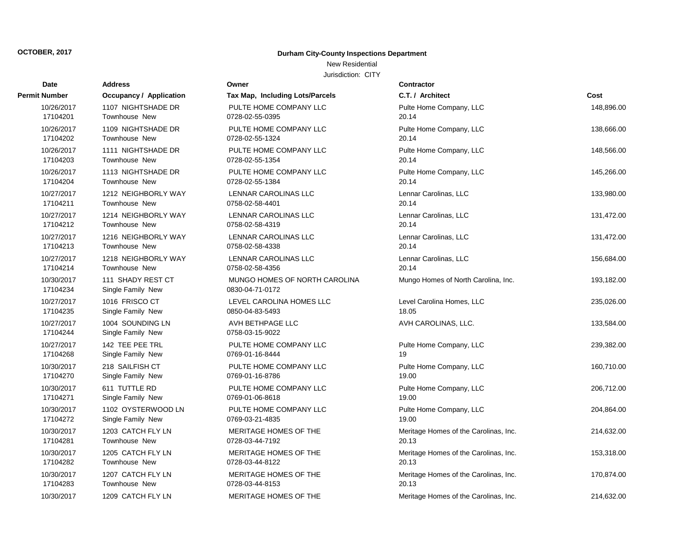## **Durham City-County Inspections Department**

## New Residential

| Date                   | <b>Address</b>                         | Owner                                            | <b>Contractor</b>                     |            |
|------------------------|----------------------------------------|--------------------------------------------------|---------------------------------------|------------|
| <b>Permit Number</b>   | <b>Occupancy / Application</b>         | Tax Map, Including Lots/Parcels                  | C.T. / Architect                      | Cost       |
| 10/26/2017             | 1107 NIGHTSHADE DR                     | PULTE HOME COMPANY LLC                           | Pulte Home Company, LLC               | 148,896.00 |
| 17104201               | Townhouse New                          | 0728-02-55-0395                                  | 20.14                                 |            |
| 10/26/2017             | 1109 NIGHTSHADE DR                     | PULTE HOME COMPANY LLC                           | Pulte Home Company, LLC               | 138,666.00 |
| 17104202               | <b>Townhouse New</b>                   | 0728-02-55-1324                                  | 20.14                                 |            |
| 10/26/2017             | 1111 NIGHTSHADE DR                     | PULTE HOME COMPANY LLC                           | Pulte Home Company, LLC               | 148,566.00 |
| 17104203               | Townhouse New                          | 0728-02-55-1354                                  | 20.14                                 |            |
| 10/26/2017             | 1113 NIGHTSHADE DR                     | PULTE HOME COMPANY LLC                           | Pulte Home Company, LLC               | 145,266.00 |
| 17104204               | Townhouse New                          | 0728-02-55-1384                                  | 20.14                                 |            |
| 10/27/2017             | 1212 NEIGHBORLY WAY                    | <b>LENNAR CAROLINAS LLC</b>                      | Lennar Carolinas, LLC                 | 133,980.00 |
| 17104211               | Townhouse New                          | 0758-02-58-4401                                  | 20.14                                 |            |
| 10/27/2017             | 1214 NEIGHBORLY WAY                    | <b>LENNAR CAROLINAS LLC</b>                      | Lennar Carolinas, LLC                 | 131,472.00 |
| 17104212               | Townhouse New                          | 0758-02-58-4319                                  | 20.14                                 |            |
| 10/27/2017             | 1216 NEIGHBORLY WAY                    | LENNAR CAROLINAS LLC                             | Lennar Carolinas, LLC                 | 131,472.00 |
| 17104213               | <b>Townhouse New</b>                   | 0758-02-58-4338                                  | 20.14                                 |            |
| 10/27/2017             | 1218 NEIGHBORLY WAY                    | LENNAR CAROLINAS LLC                             | Lennar Carolinas, LLC                 | 156,684.00 |
| 17104214               | Townhouse New                          | 0758-02-58-4356                                  | 20.14                                 |            |
| 10/30/2017<br>17104234 | 111 SHADY REST CT<br>Single Family New | MUNGO HOMES OF NORTH CAROLINA<br>0830-04-71-0172 | Mungo Homes of North Carolina, Inc.   | 193,182.00 |
| 10/27/2017             | 1016 FRISCO CT                         | LEVEL CAROLINA HOMES LLC                         | Level Carolina Homes, LLC             | 235,026.00 |
| 17104235               | Single Family New                      | 0850-04-83-5493                                  | 18.05                                 |            |
| 10/27/2017<br>17104244 | 1004 SOUNDING LN<br>Single Family New  | AVH BETHPAGE LLC<br>0758-03-15-9022              | AVH CAROLINAS, LLC.                   | 133,584.00 |
| 10/27/2017             | 142 TEE PEE TRL                        | PULTE HOME COMPANY LLC                           | Pulte Home Company, LLC               | 239,382.00 |
| 17104268               | Single Family New                      | 0769-01-16-8444                                  | 19                                    |            |
| 10/30/2017             | 218 SAILFISH CT                        | PULTE HOME COMPANY LLC                           | Pulte Home Company, LLC               | 160,710.00 |
| 17104270               | Single Family New                      | 0769-01-16-8786                                  | 19.00                                 |            |
| 10/30/2017             | 611 TUTTLE RD                          | PULTE HOME COMPANY LLC                           | Pulte Home Company, LLC               | 206,712.00 |
| 17104271               | Single Family New                      | 0769-01-06-8618                                  | 19.00                                 |            |
| 10/30/2017             | 1102 OYSTERWOOD LN                     | PULTE HOME COMPANY LLC                           | Pulte Home Company, LLC               | 204,864.00 |
| 17104272               | Single Family New                      | 0769-03-21-4835                                  | 19.00                                 |            |
| 10/30/2017             | 1203 CATCH FLY LN                      | MERITAGE HOMES OF THE                            | Meritage Homes of the Carolinas, Inc. | 214,632.00 |
| 17104281               | Townhouse New                          | 0728-03-44-7192                                  | 20.13                                 |            |
| 10/30/2017             | 1205 CATCH FLY LN                      | MERITAGE HOMES OF THE                            | Meritage Homes of the Carolinas, Inc. | 153,318.00 |
| 17104282               | <b>Townhouse New</b>                   | 0728-03-44-8122                                  | 20.13                                 |            |
| 10/30/2017             | 1207 CATCH FLY LN                      | MERITAGE HOMES OF THE                            | Meritage Homes of the Carolinas, Inc. | 170,874.00 |
| 17104283               | Townhouse New                          | 0728-03-44-8153                                  | 20.13                                 |            |
| 10/30/2017             | 1209 CATCH FLY LN                      | MERITAGE HOMES OF THE                            | Meritage Homes of the Carolinas, Inc. | 214,632.00 |